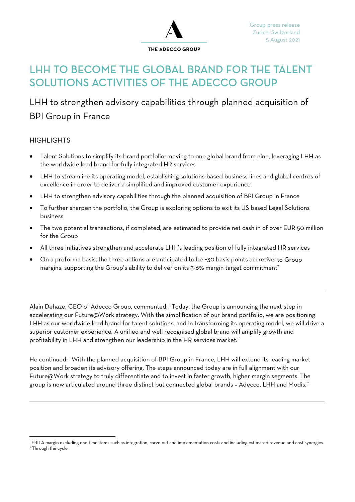

# LHH TO BECOME THE GLOBAL BRAND FOR THE TALENT SOLUTIONS ACTIVITIES OF THE ADECCO GROUP

# LHH to strengthen advisory capabilities through planned acquisition of BPI Group in France

# **HIGHLIGHTS**

 $\overline{a}$ 

 $\overline{a}$ 

- Talent Solutions to simplify its brand portfolio, moving to one global brand from nine, leveraging LHH as the worldwide lead brand for fully integrated HR services
- LHH to streamline its operating model, establishing solutions-based business lines and global centres of excellence in order to deliver a simplified and improved customer experience
- LHH to strengthen advisory capabilities through the planned acquisition of BPI Group in France
- To further sharpen the portfolio, the Group is exploring options to exit its US based Legal Solutions business
- The two potential transactions, if completed, are estimated to provide net cash in of over EUR 50 million for the Group
- All three initiatives strengthen and accelerate LHH's leading position of fully integrated HR services
- On a proforma basis, the three actions are anticipated to be ~30 basis points accretive' to Group margins, supporting the Group's ability to deliver on its 3-6% margin target commitment<sup>2</sup>

Alain Dehaze, CEO of Adecco Group, commented: "Today, the Group is announcing the next step in accelerating our Future@Work strategy. With the simplification of our brand portfolio, we are positioning LHH as our worldwide lead brand for talent solutions, and in transforming its operating model, we will drive a superior customer experience. A unified and well recognised global brand will amplify growth and profitability in LHH and strengthen our leadership in the HR services market."

He continued: "With the planned acquisition of BPI Group in France, LHH will extend its leading market position and broaden its advisory offering. The steps announced today are in full alignment with our Future@Work strategy to truly differentiate and to invest in faster growth, higher margin segments. The group is now articulated around three distinct but connected global brands – Adecco, LHH and Modis."

<sup>1</sup> EBITA margin excluding one-time items such as integration, carve-out and implementation costs and including estimated revenue and cost synergies <sup>2</sup> Through the cycle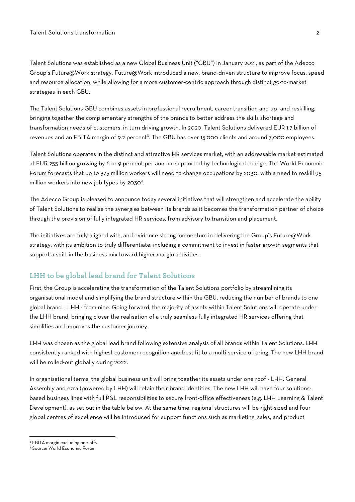Talent Solutions was established as a new Global Business Unit ("GBU") in January 2021, as part of the Adecco Group's Future@Work strategy. Future@Work introduced a new, brand-driven structure to improve focus, speed and resource allocation, while allowing for a more customer-centric approach through distinct go-to-market strategies in each GBU.

The Talent Solutions GBU combines assets in professional recruitment, career transition and up- and reskilling, bringing together the complementary strengths of the brands to better address the skills shortage and transformation needs of customers, in turn driving growth. In 2020, Talent Solutions delivered EUR 1.7 billion of revenues and an EBITA margin of 9.2 percent<sup>3</sup>. The GBU has over 15,000 clients and around 7,000 employees.

Talent Solutions operates in the distinct and attractive HR services market, with an addressable market estimated at EUR 255 billion growing by 6 to 9 percent per annum, supported by technological change. The World Economic Forum forecasts that up to 375 million workers will need to change occupations by 2030, with a need to reskill 95 million workers into new job types by 2030<sup>4</sup>.

The Adecco Group is pleased to announce today several initiatives that will strengthen and accelerate the ability of Talent Solutions to realise the synergies between its brands as it becomes the transformation partner of choice through the provision of fully integrated HR services, from advisory to transition and placement.

The initiatives are fully aligned with, and evidence strong momentum in delivering the Group's Future@Work strategy, with its ambition to truly differentiate, including a commitment to invest in faster growth segments that support a shift in the business mix toward higher margin activities.

## **LHH to be global lead brand for Talent Solutions**

First, the Group is accelerating the transformation of the Talent Solutions portfolio by streamlining its organisational model and simplifying the brand structure within the GBU, reducing the number of brands to one global brand – LHH - from nine. Going forward, the majority of assets within Talent Solutions will operate under the LHH brand, bringing closer the realisation of a truly seamless fully integrated HR services offering that simplifies and improves the customer journey.

LHH was chosen as the global lead brand following extensive analysis of all brands within Talent Solutions. LHH consistently ranked with highest customer recognition and best fit to a multi-service offering. The new LHH brand will be rolled-out globally during 2022.

In organisational terms, the global business unit will bring together its assets under one roof - LHH. General Assembly and ezra (powered by LHH) will retain their brand identities. The new LHH will have four solutionsbased business lines with full P&L responsibilities to secure front-office effectiveness (e.g. LHH Learning & Talent Development), as set out in the table below. At the same time, regional structures will be right-sized and four global centres of excellence will be introduced for support functions such as marketing, sales, and product

<sup>3</sup> EBITA margin excluding one-offs

<sup>4</sup> Source: World Economic Forum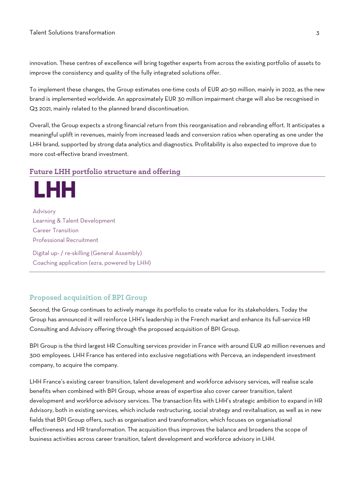innovation. These centres of excellence will bring together experts from across the existing portfolio of assets to improve the consistency and quality of the fully integrated solutions offer.

To implement these changes, the Group estimates one-time costs of EUR 40-50 million, mainly in 2022, as the new brand is implemented worldwide. An approximately EUR 30 million impairment charge will also be recognised in Q3 2021, mainly related to the planned brand discontinuation.

Overall, the Group expects a strong financial return from this reorganisation and rebranding effort. It anticipates a meaningful uplift in revenues, mainly from increased leads and conversion ratios when operating as one under the LHH brand, supported by strong data analytics and diagnostics. Profitability is also expected to improve due to more cost-effective brand investment.

### **Future LHH portfolio structure and offering**

Advisory Learning & Talent Development Career Transition Professional Recruitment Digital up- / re-skilling (General Assembly)

ЕНН

Coaching application (ezra, powered by LHH)

# **Proposed acquisition of BPI Group**

Second, the Group continues to actively manage its portfolio to create value for its stakeholders. Today the Group has announced it will reinforce LHH's leadership in the French market and enhance its full-service HR Consulting and Advisory offering through the proposed acquisition of BPI Group.

BPI Group is the third largest HR Consulting services provider in France with around EUR 40 million revenues and 300 employees. LHH France has entered into exclusive negotiations with Perceva, an independent investment company, to acquire the company.

LHH France's existing career transition, talent development and workforce advisory services, will realise scale benefits when combined with BPI Group, whose areas of expertise also cover career transition, talent development and workforce advisory services. The transaction fits with LHH's strategic ambition to expand in HR Advisory, both in existing services, which include restructuring, social strategy and revitalisation, as well as in new fields that BPI Group offers, such as organisation and transformation, which focuses on organisational effectiveness and HR transformation. The acquisition thus improves the balance and broadens the scope of business activities across career transition, talent development and workforce advisory in LHH.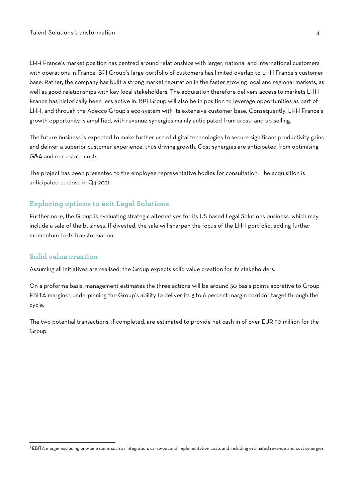LHH France's market position has centred around relationships with larger, national and international customers with operations in France. BPI Group's large portfolio of customers has limited overlap to LHH France's customer base. Rather, the company has built a strong market reputation in the faster growing local and regional markets, as well as good relationships with key local stakeholders. The acquisition therefore delivers access to markets LHH France has historically been less active in. BPI Group will also be in position to leverage opportunities as part of LHH, and through the Adecco Group's eco-system with its extensive customer base. Consequently, LHH France's growth opportunity is amplified, with revenue synergies mainly anticipated from cross- and up-selling.

The future business is expected to make further use of digital technologies to secure significant productivity gains and deliver a superior customer experience, thus driving growth. Cost synergies are anticipated from optimising G&A and real estate costs.

The project has been presented to the employee representative bodies for consultation. The acquisition is anticipated to close in Q4 2021.

### **Exploring options to exit Legal Solutions**

Furthermore, the Group is evaluating strategic alternatives for its US based Legal Solutions business, which may include a sale of the business. If divested, the sale will sharpen the focus of the LHH portfolio, adding further momentum to its transformation.

### **Solid value creation**

Assuming all initiatives are realised, the Group expects solid value creation for its stakeholders.

On a proforma basis, management estimates the three actions will be around 30 basis points accretive to Group EBITA margins<sup>5</sup>, underpinning the Group's ability to deliver its 3 to 6 percent margin corridor target through the cycle.

The two potential transactions, if completed, are estimated to provide net cash in of over EUR 50 million for the Group.

<sup>5</sup> EBITA margin excluding one-time items such as integration, carve-out and implementation costs and including estimated revenue and cost synergies